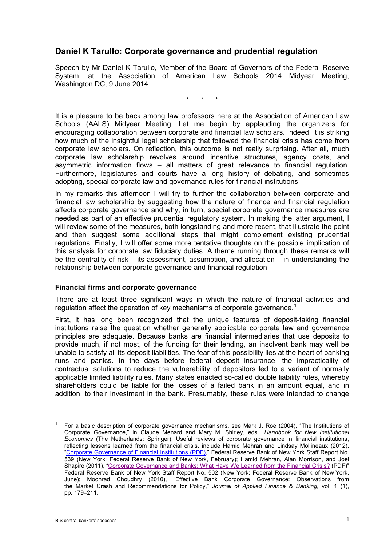# **Daniel K Tarullo: Corporate governance and prudential regulation**

Speech by Mr Daniel K Tarullo, Member of the Board of Governors of the Federal Reserve System, at the Association of American Law Schools 2014 Midyear Meeting, Washington DC, 9 June 2014.

\* \* \*

It is a pleasure to be back among law professors here at the Association of American Law Schools (AALS) Midyear Meeting. Let me begin by applauding the organizers for encouraging collaboration between corporate and financial law scholars. Indeed, it is striking how much of the insightful legal scholarship that followed the financial crisis has come from corporate law scholars. On reflection, this outcome is not really surprising. After all, much corporate law scholarship revolves around incentive structures, agency costs, and asymmetric information flows – all matters of great relevance to financial regulation. Furthermore, legislatures and courts have a long history of debating, and sometimes adopting, special corporate law and governance rules for financial institutions.

In my remarks this afternoon I will try to further the collaboration between corporate and financial law scholarship by suggesting how the nature of finance and financial regulation affects corporate governance and why, in turn, special corporate governance measures are needed as part of an effective prudential regulatory system. In making the latter argument, I will review some of the measures, both longstanding and more recent, that illustrate the point and then suggest some additional steps that might complement existing prudential regulations. Finally, I will offer some more tentative thoughts on the possible implication of this analysis for corporate law fiduciary duties. A theme running through these remarks will be the centrality of risk – its assessment, assumption, and allocation – in understanding the relationship between corporate governance and financial regulation.

## **Financial firms and corporate governance**

There are at least three significant ways in which the nature of financial activities and regulation affect the operation of key mechanisms of corporate governance.<sup>[1](#page-0-0)</sup>

First, it has long been recognized that the unique features of deposit-taking financial institutions raise the question whether generally applicable corporate law and governance principles are adequate. Because banks are financial intermediaries that use deposits to provide much, if not most, of the funding for their lending, an insolvent bank may well be unable to satisfy all its deposit liabilities. The fear of this possibility lies at the heart of banking runs and panics. In the days before federal deposit insurance, the impracticality of contractual solutions to reduce the vulnerability of depositors led to a variant of normally applicable limited liability rules. Many states enacted so-called double liability rules, whereby shareholders could be liable for the losses of a failed bank in an amount equal, and in addition, to their investment in the bank. Presumably, these rules were intended to change

<span id="page-0-0"></span><sup>1</sup> For a basic description of corporate governance mechanisms, see Mark J. Roe (2004), "The Institutions of Corporate Governance," in Claude Menard and Mary M. Shirley, eds., *Handbook for New Institutional Economics* (The Netherlands: Springer). Useful reviews of corporate governance in financial institutions, reflecting lessons learned from the financial crisis, include Hamid Mehran and Lindsay Mollineaux (2012), ["Corporate Governance of Financial Institutions \(PDF\)](http://www.newyorkfed.org/research/staff_reports/sr539.html)*,*" Federal Reserve Bank of New York Staff Report No. 539 (New York: Federal Reserve Bank of New York, February); Hamid Mehran, Alan Morrison, and Joel Shapiro (2011), ["Corporate Governance and Banks: What Have We Learned from the Financial Crisis?](http://www.newyorkfed.org/research/staff_reports/sr502.html) (PDF)" Federal Reserve Bank of New York Staff Report No. 502 (New York: Federal Reserve Bank of New York, June); Moonrad Choudhry (2010), "Effective Bank Corporate Governance: Observations from the Market Crash and Recommendations for Policy," *Journal of Applied Finance & Banking*, vol. 1 (1), pp. 179–211.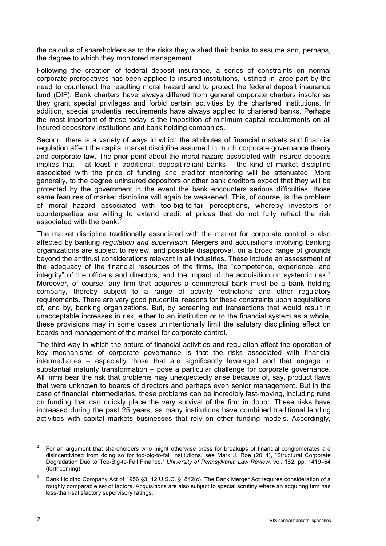the calculus of shareholders as to the risks they wished their banks to assume and, perhaps, the degree to which they monitored management.

Following the creation of federal deposit insurance, a series of constraints on normal corporate prerogatives has been applied to insured institutions, justified in large part by the need to counteract the resulting moral hazard and to protect the federal deposit insurance fund (DIF). Bank charters have always differed from general corporate charters insofar as they grant special privileges and forbid certain activities by the chartered institutions. In addition, special prudential requirements have always applied to chartered banks. Perhaps the most important of these today is the imposition of minimum capital requirements on all insured depository institutions and bank holding companies.

Second, there is a variety of ways in which the attributes of financial markets and financial regulation affect the capital market discipline assumed in much corporate governance theory and corporate law. The prior point about the moral hazard associated with insured deposits implies that – at least in traditional, deposit-reliant banks – the kind of market discipline associated with the price of funding and creditor monitoring will be attenuated. More generally, to the degree uninsured depositors or other bank creditors expect that they will be protected by the government in the event the bank encounters serious difficulties, those same features of market discipline will again be weakened. This, of course, is the problem of moral hazard associated with too-big-to-fail perceptions, whereby investors or counterparties are willing to extend credit at prices that do not fully reflect the risk associated with the bank.

The market discipline traditionally associated with the market for corporate control is also affected by banking *regulation and supervision.* Mergers and acquisitions involving banking organizations are subject to review, and possible disapproval, on a broad range of grounds beyond the antitrust considerations relevant in all industries. These include an assessment of the adequacy of the financial resources of the firms, the "competence, experience, and integrity" of the officers and directors, and the impact of the acquisition on systemic risk.<sup>[3](#page-1-1)</sup> Moreover, of course, any firm that acquires a commercial bank must be a bank holding company, thereby subject to a range of activity restrictions and other regulatory requirements. There are very good prudential reasons for these constraints upon acquisitions of, and by, banking organizations. But, by screening out transactions that would result in unacceptable increases in risk, either to an institution or to the financial system as a whole, these provisions may in some cases unintentionally limit the salutary disciplining effect on boards and management of the market for corporate control.

The third way in which the nature of financial activities and regulation affect the operation of key mechanisms of corporate governance is that the risks associated with financial intermediaries – especially those that are significantly leveraged and that engage in substantial maturity transformation – pose a particular challenge for corporate governance. All firms bear the risk that problems may unexpectedly arise because of, say, product flaws that were unknown to boards of directors and perhaps even senior management. But in the case of financial intermediaries, these problems can be incredibly fast-moving, including runs on funding that can quickly place the very survival of the firm in doubt. These risks have increased during the past 25 years, as many institutions have combined traditional lending activities with capital markets businesses that rely on other funding models. Accordingly,

 $\ddot{\phantom{a}}$ 

<span id="page-1-0"></span><sup>2</sup> For an argument that shareholders who might otherwise press for breakups of financial conglomerates are disincentivized from doing so for too-big-to-fail institutions, see Mark J. Roe (2014), "Structural Corporate Degradation Due to Too-Big-to-Fail Finance," *University of Pennsylvania Law Review,* vol. 162, pp. 1419–64 (forthcoming).

<span id="page-1-1"></span>Bank Holding Company Act of 1956 §3, 12 U.S.C. §1842(c). The Bank Merger Act requires consideration of a roughly comparable set of factors. Acquisitions are also subject to special scrutiny where an acquiring firm has less-than-satisfactory supervisory ratings.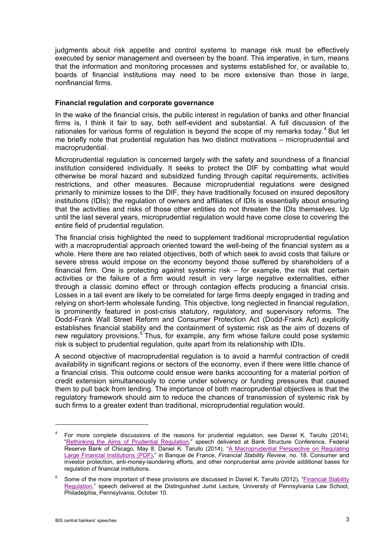judgments about risk appetite and control systems to manage risk must be effectively executed by senior management and overseen by the board. This imperative, in turn, means that the information and monitoring processes and systems established for, or available to, boards of financial institutions may need to be more extensive than those in large, nonfinancial firms.

### **Financial regulation and corporate governance**

In the wake of the financial crisis, the public interest in regulation of banks and other financial firms is, I think it fair to say, both self-evident and substantial. A full discussion of the rationales for various forms of regulation is beyond the scope of my remarks today.<sup>[4](#page-2-0)</sup> But let me briefly note that prudential regulation has two distinct motivations – microprudential and macroprudential.

Microprudential regulation is concerned largely with the safety and soundness of a financial institution considered individually. It seeks to protect the DIF by combatting what would otherwise be moral hazard and subsidized funding through capital requirements, activities restrictions, and other measures. Because microprudential regulations were designed primarily to minimize losses to the DIF, they have traditionally focused on insured depository institutions (IDIs); the regulation of owners and affiliates of IDIs is essentially about ensuring that the activities and risks of those other entities do not threaten the IDIs themselves. Up until the last several years, microprudential regulation would have come close to covering the entire field of prudential regulation.

The financial crisis highlighted the need to supplement traditional microprudential regulation with a macroprudential approach oriented toward the well-being of the financial system as a whole. Here there are two related objectives, both of which seek to avoid costs that failure or severe stress would impose on the economy beyond those suffered by shareholders of a financial firm. One is protecting against systemic risk – for example, the risk that certain activities or the failure of a firm would result in very large negative externalities, either through a classic domino effect or through contagion effects producing a financial crisis. Losses in a tail event are likely to be correlated for large firms deeply engaged in trading and relying on short-term wholesale funding. This objective, long neglected in financial regulation, is prominently featured in post-crisis statutory, regulatory, and supervisory reforms. The Dodd-Frank Wall Street Reform and Consumer Protection Act (Dodd-Frank Act) explicitly establishes financial stability and the containment of systemic risk as the aim of dozens of new regulatory provisions.<sup>[5](#page-2-1)</sup> Thus, for example, any firm whose failure could pose systemic risk is subject to prudential regulation, quite apart from its relationship with IDIs.

A second objective of macroprudential regulation is to avoid a harmful contraction of credit availability in significant regions or sectors of the economy, even if there were little chance of a financial crisis. This outcome could ensue were banks accounting for a material portion of credit extension simultaneously to come under solvency or funding pressures that caused them to pull back from lending. The importance of both macroprudential objectives is that the regulatory framework should aim to reduce the chances of transmission of systemic risk by such firms to a greater extent than traditional, microprudential regulation would.

 $\ddot{\phantom{a}}$ 

<span id="page-2-0"></span><sup>4</sup> For more complete discussions of the reasons for prudential regulation, see Daniel K. Tarullo (2014), ["Rethinking the Aims of Prudential Regulation,"](http://www.federalreserve.gov/newsevents/speech/tarullo20140508a.htm) speech delivered at Bank Structure Conference, Federal Reserve Bank of Chicago, May 8; Daniel K. Tarullo (2014), "A Macroprudential Perspective on Regulating [Large Financial Institutions \(PDF\),](http://www.banque-france.fr/fileadmin/user_upload/banque_de_france/publications/FSR18_Tarullo.pdf)" in Banque de France, *Financial Stability Review,* no. 18. Consumer and investor protection, anti-money-laundering efforts, and other nonprudential aims provide additional bases for regulation of financial institutions.

<span id="page-2-1"></span><sup>&</sup>lt;sup>5</sup> Some of the more important of these provisions are discussed in Daniel K. Tarullo (2012), "Financial Stability [Regulation,"](http://www.federalreserve.gov/newsevents/speech/tarullo20121010a.htm) speech delivered at the Distinguished Jurist Lecture, University of Pennsylvania Law School, Philadelphia, Pennsylvania, October 10.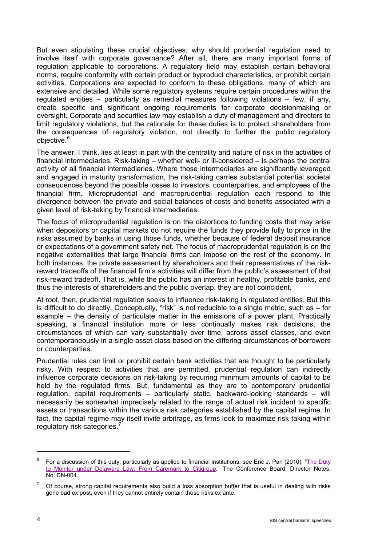But even stipulating these crucial objectives, why should prudential regulation need to involve itself with corporate governance? After all, there are many important forms of regulation applicable to corporations. A regulatory field may establish certain behavioral norms, require conformity with certain product or byproduct characteristics, or prohibit certain activities. Corporations are expected to conform to these obligations, many of which are extensive and detailed. While some regulatory systems require certain procedures within the regulated entities – particularly as remedial measures following violations – few, if any, create specific and significant ongoing requirements for corporate decisionmaking or oversight. Corporate and securities law may establish a duty of management and directors to limit regulatory violations, but the rationale for these duties is to protect shareholders from the consequences of regulatory violation, not directly to further the public regulatory objective.<sup>[6](#page-3-0)</sup>

The answer, I think, lies at least in part with the centrality and nature of risk in the activities of financial intermediaries. Risk-taking – whether well- or ill-considered – is perhaps the central activity of all financial intermediaries. Where those intermediaries are significantly leveraged and engaged in maturity transformation, the risk-taking carries substantial potential societal consequences beyond the possible losses to investors, counterparties, and employees of the financial firm. Microprudential and macroprudential regulation each respond to this divergence between the private and social balances of costs and benefits associated with a given level of risk-taking by financial intermediaries.

The focus of microprudential regulation is on the distortions to funding costs that may arise when depositors or capital markets do not require the funds they provide fully to price in the risks assumed by banks in using those funds, whether because of federal deposit insurance or expectations of a government safety net. The focus of macroprudential regulation is on the negative externalities that large financial firms can impose on the rest of the economy. In both instances, the private assessment by shareholders and their representatives of the riskreward tradeoffs of the financial firm's activities will differ from the public's assessment of that risk-reward tradeoff. That is, while the public has an interest in healthy, profitable banks, and thus the interests of shareholders and the public overlap, they are not coincident.

At root, then, prudential regulation seeks to influence risk-taking in regulated entities. But this is difficult to do directly. Conceptually, "risk" is not reducible to a single metric, such as – for example – the density of particulate matter in the emissions of a power plant. Practically speaking, a financial institution more or less continually makes risk decisions, the circumstances of which can vary substantially over time, across asset classes, and even contemporaneously in a single asset class based on the differing circumstances of borrowers or counterparties.

Prudential rules can limit or prohibit certain bank activities that are thought to be particularly risky. With respect to activities that *are* permitted, prudential regulation can indirectly influence corporate decisions on risk-taking by requiring minimum amounts of capital to be held by the regulated firms. But, fundamental as they are to contemporary prudential regulation, capital requirements – particularly static, backward-looking standards – will necessarily be somewhat imprecisely related to the range of actual risk incident to specific assets or transactions within the various risk categories established by the capital regime. In fact, the capital regime may itself invite arbitrage, as firms look to maximize risk-taking within regulatory risk categories.

-

<span id="page-3-0"></span><sup>6</sup> For a discussion of this duty, particularly as applied to financial institutions, see Eric J. Pan (2010), ["The Duty](http://www.conference-board.org/retrievefile.cfm?filename=DN-004-10.pdf&type=subsite)  [to Monitor under Delaware Law: From Caremark to Citigroup,"](http://www.conference-board.org/retrievefile.cfm?filename=DN-004-10.pdf&type=subsite) The Conference Board, Director Notes, No. DN-004.

<span id="page-3-1"></span><sup>7</sup> Of course, strong capital requirements also build a loss absorption buffer that is useful in dealing with risks gone bad ex post, even if they cannot entirely contain those risks ex ante.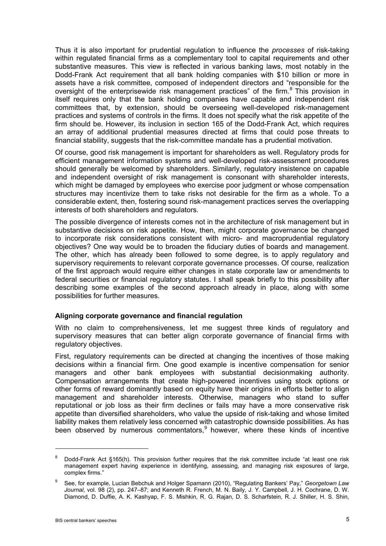Thus it is also important for prudential regulation to influence the *processes* of risk-taking within regulated financial firms as a complementary tool to capital requirements and other substantive measures. This view is reflected in various banking laws, most notably in the Dodd-Frank Act requirement that all bank holding companies with \$10 billion or more in assets have a risk committee, composed of independent directors and "responsible for the oversight of the enterprisewide risk management practices" of the firm.<sup>[8](#page-4-0)</sup> This provision in itself requires only that the bank holding companies have capable and independent risk committees that, by extension, should be overseeing well-developed risk-management practices and systems of controls in the firms. It does not specify what the risk appetite of the firm should be. However, its inclusion in section 165 of the Dodd-Frank Act, which requires an array of additional prudential measures directed at firms that could pose threats to financial stability, suggests that the risk-committee mandate has a prudential motivation.

Of course, good risk management is important for shareholders as well. Regulatory prods for efficient management information systems and well-developed risk-assessment procedures should generally be welcomed by shareholders. Similarly, regulatory insistence on capable and independent oversight of risk management is consonant with shareholder interests, which might be damaged by employees who exercise poor judgment or whose compensation structures may incentivize them to take risks not desirable for the firm as a whole. To a considerable extent, then, fostering sound risk-management practices serves the overlapping interests of both shareholders and regulators.

The possible divergence of interests comes not in the architecture of risk management but in substantive decisions on risk appetite. How, then, might corporate governance be changed to incorporate risk considerations consistent with micro- and macroprudential regulatory objectives? One way would be to broaden the fiduciary duties of boards and management. The other, which has already been followed to some degree, is to apply regulatory and supervisory requirements to relevant corporate governance processes. Of course, realization of the first approach would require either changes in state corporate law or amendments to federal securities or financial regulatory statutes. I shall speak briefly to this possibility after describing some examples of the second approach already in place, along with some possibilities for further measures.

#### **Aligning corporate governance and financial regulation**

With no claim to comprehensiveness, let me suggest three kinds of regulatory and supervisory measures that can better align corporate governance of financial firms with regulatory objectives.

First, regulatory requirements can be directed at changing the incentives of those making decisions within a financial firm. One good example is incentive compensation for senior managers and other bank employees with substantial decisionmaking authority. Compensation arrangements that create high-powered incentives using stock options or other forms of reward dominantly based on equity have their origins in efforts better to align management and shareholder interests. Otherwise, managers who stand to suffer reputational or job loss as their firm declines or fails may have a more conservative risk appetite than diversified shareholders, who value the upside of risk-taking and whose limited liability makes them relatively less concerned with catastrophic downside possibilities. As has been observed by numerous commentators,  $9$  however, where these kinds of incentive

<span id="page-4-0"></span><sup>&</sup>lt;sup>8</sup> Dodd-Frank Act §165(h). This provision further requires that the risk committee include "at least one risk management expert having experience in identifying, assessing, and managing risk exposures of large, complex firms."

<span id="page-4-1"></span><sup>9</sup> See, for example, Lucian Bebchuk and Holger Spamann (2010), "Regulating Bankers' Pay," *Georgetown Law Journal*, vol. 98 (2), pp. 247–87; and Kenneth R. French, M. N. Baily, J. Y. Campbell, J. H. Cochrane, D. W. Diamond, D. Duffie, A. K. Kashyap, F. S. Mishkin, R. G. Rajan, D. S. Scharfstein, R. J. Shiller, H. S. Shin,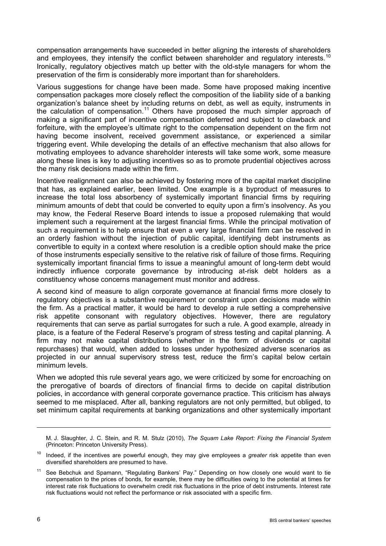compensation arrangements have succeeded in better aligning the interests of shareholders and employees, they intensify the conflict between shareholder and requiatory interests.<sup>[10](#page-5-0)</sup> Ironically, regulatory objectives match up better with the old-style managers for whom the preservation of the firm is considerably more important than for shareholders.

Various suggestions for change have been made. Some have proposed making incentive compensation packages more closely reflect the composition of the liability side of a banking organization's balance sheet by including returns on debt, as well as equity, instruments in the calculation of compensation.<sup>[11](#page-5-1)</sup> Others have proposed the much simpler approach of making a significant part of incentive compensation deferred and subject to clawback and forfeiture, with the employee's ultimate right to the compensation dependent on the firm not having become insolvent, received government assistance, or experienced a similar triggering event. While developing the details of an effective mechanism that also allows for motivating employees to advance shareholder interests will take some work, some measure along these lines is key to adjusting incentives so as to promote prudential objectives across the many risk decisions made within the firm.

Incentive realignment can also be achieved by fostering more of the capital market discipline that has, as explained earlier, been limited. One example is a byproduct of measures to increase the total loss absorbency of systemically important financial firms by requiring minimum amounts of debt that could be converted to equity upon a firm's insolvency. As you may know, the Federal Reserve Board intends to issue a proposed rulemaking that would implement such a requirement at the largest financial firms. While the principal motivation of such a requirement is to help ensure that even a very large financial firm can be resolved in an orderly fashion without the injection of public capital, identifying debt instruments as convertible to equity in a context where resolution is a credible option should make the price of those instruments especially sensitive to the relative risk of failure of those firms. Requiring systemically important financial firms to issue a meaningful amount of long-term debt would indirectly influence corporate governance by introducing at-risk debt holders as a constituency whose concerns management must monitor and address.

A second kind of measure to align corporate governance at financial firms more closely to regulatory objectives is a substantive requirement or constraint upon decisions made within the firm. As a practical matter, it would be hard to develop a rule setting a comprehensive risk appetite consonant with regulatory objectives. However, there are regulatory requirements that can serve as partial surrogates for such a rule. A good example, already in place, is a feature of the Federal Reserve's program of stress testing and capital planning. A firm may not make capital distributions (whether in the form of dividends or capital repurchases) that would, when added to losses under hypothesized adverse scenarios as projected in our annual supervisory stress test, reduce the firm's capital below certain minimum levels.

When we adopted this rule several years ago, we were criticized by some for encroaching on the prerogative of boards of directors of financial firms to decide on capital distribution policies, in accordance with general corporate governance practice. This criticism has always seemed to me misplaced. After all, banking regulators are not only permitted, but obliged, to set minimum capital requirements at banking organizations and other systemically important

M. J. Slaughter, J. C. Stein, and R. M. Stulz (2010), *The Squam Lake Report: Fixing the Financial System*  (Princeton: Princeton University Press).

<span id="page-5-0"></span><sup>10</sup> Indeed, if the incentives are powerful enough, they may give employees a *greater* risk appetite than even diversified shareholders are presumed to have.

<span id="page-5-1"></span>See Bebchuk and Spamann, "Regulating Bankers' Pay." Depending on how closely one would want to tie compensation to the prices of bonds, for example, there may be difficulties owing to the potential at times for interest rate risk fluctuations to overwhelm credit risk fluctuations in the price of debt instruments. Interest rate risk fluctuations would not reflect the performance or risk associated with a specific firm.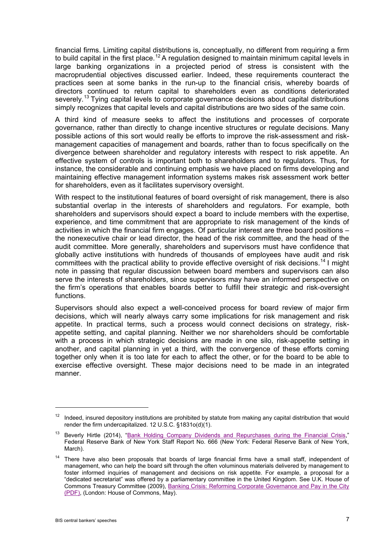financial firms. Limiting capital distributions is, conceptually, no different from requiring a firm to build capital in the first place.<sup>[12](#page-6-0)</sup> A regulation designed to maintain minimum capital levels in large banking organizations in a projected period of stress is consistent with the macroprudential objectives discussed earlier. Indeed, these requirements counteract the practices seen at some banks in the run-up to the financial crisis, whereby boards of directors continued to return capital to shareholders even as conditions deteriorated severely.<sup>[13](#page-6-1)</sup> Tying capital levels to corporate governance decisions about capital distributions simply recognizes that capital levels and capital distributions are two sides of the same coin.

A third kind of measure seeks to affect the institutions and processes of corporate governance, rather than directly to change incentive structures or regulate decisions. Many possible actions of this sort would really be efforts to improve the risk-assessment and riskmanagement capacities of management and boards, rather than to focus specifically on the divergence between shareholder and regulatory interests with respect to risk appetite. An effective system of controls is important both to shareholders and to regulators. Thus, for instance, the considerable and continuing emphasis we have placed on firms developing and maintaining effective management information systems makes risk assessment work better for shareholders, even as it facilitates supervisory oversight.

With respect to the institutional features of board oversight of risk management, there is also substantial overlap in the interests of shareholders and regulators. For example, both shareholders and supervisors should expect a board to include members with the expertise, experience, and time commitment that are appropriate to risk management of the kinds of activities in which the financial firm engages. Of particular interest are three board positions – the nonexecutive chair or lead director, the head of the risk committee, and the head of the audit committee. More generally, shareholders and supervisors must have confidence that globally active institutions with hundreds of thousands of employees have audit and risk committees with the practical ability to provide effective oversight of risk decisions.<sup>[14](#page-6-2)</sup> I might note in passing that regular discussion between board members and supervisors can also serve the interests of shareholders, since supervisors may have an informed perspective on the firm's operations that enables boards better to fulfill their strategic and risk-oversight functions.

Supervisors should also expect a well-conceived process for board review of major firm decisions, which will nearly always carry some implications for risk management and risk appetite. In practical terms, such a process would connect decisions on strategy, riskappetite setting, and capital planning. Neither we nor shareholders should be comfortable with a process in which strategic decisions are made in one silo, risk-appetite setting in another, and capital planning in yet a third, with the convergence of these efforts coming together only when it is too late for each to affect the other, or for the board to be able to exercise effective oversight. These major decisions need to be made in an integrated manner.

<span id="page-6-0"></span> $12$  Indeed, insured depository institutions are prohibited by statute from making any capital distribution that would render the firm undercapitalized. 12 U.S.C. §1831o(d)(1).

<span id="page-6-1"></span><sup>&</sup>lt;sup>13</sup> Beverly Hirtle (2014), ["Bank Holding Company Dividends and Repurchases during the Financial Crisis,](http://www.newyorkfed.org/research/staff_reports/sr666.html)" Federal Reserve Bank of New York Staff Report No. 666 (New York: Federal Reserve Bank of New York, March).

<span id="page-6-2"></span><sup>&</sup>lt;sup>14</sup> There have also been proposals that boards of large financial firms have a small staff, independent of management, who can help the board sift through the often voluminous materials delivered by management to foster informed inquiries of management and decisions on risk appetite. For example, a proposal for a "dedicated secretariat" was offered by a parliamentary committee in the United Kingdom. See U.K. House of Commons Treasury Committee (2009), [Banking Crisis: Reforming Corporate Governance and Pay in the City](http://www.publications.parliament.uk/pa/cm200809/cmselect/cmtreasy/519/519.pdf)  [\(PDF\),](http://www.publications.parliament.uk/pa/cm200809/cmselect/cmtreasy/519/519.pdf) (London: House of Commons, May).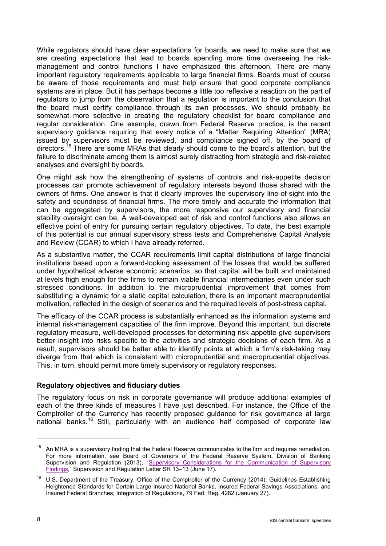While regulators should have clear expectations for boards, we need to make sure that we are creating expectations that lead to boards spending more time overseeing the riskmanagement and control functions I have emphasized this afternoon. There are many important regulatory requirements applicable to large financial firms. Boards must of course be aware of those requirements and must help ensure that good corporate compliance systems are in place. But it has perhaps become a little too reflexive a reaction on the part of regulators to jump from the observation that a regulation is important to the conclusion that the board must certify compliance through its own processes. We should probably be somewhat more selective in creating the regulatory checklist for board compliance and regular consideration. One example, drawn from Federal Reserve practice, is the recent supervisory guidance requiring that every notice of a "Matter Requiring Attention" (MRA) issued by supervisors must be reviewed, and compliance signed off, by the board of directors.<sup>[15](#page-7-0)</sup> There are some MRAs that clearly should come to the board's attention, but the failure to discriminate among them is almost surely distracting from strategic and risk-related analyses and oversight by boards.

One might ask how the strengthening of systems of controls and risk-appetite decision processes can promote achievement of regulatory interests beyond those shared with the owners of firms. One answer is that it clearly improves the supervisory line-of-sight into the safety and soundness of financial firms. The more timely and accurate the information that can be aggregated by supervisors, the more responsive our supervisory and financial stability oversight can be. A well-developed set of risk and control functions also allows an effective point of entry for pursuing certain regulatory objectives. To date, the best example of this potential is our annual supervisory stress tests and Comprehensive Capital Analysis and Review (CCAR) to which I have already referred.

As a substantive matter, the CCAR requirements limit capital distributions of large financial institutions based upon a forward-looking assessment of the losses that would be suffered under hypothetical adverse economic scenarios, so that capital will be built and maintained at levels high enough for the firms to remain viable financial intermediaries even under such stressed conditions. In addition to the microprudential improvement that comes from substituting a dynamic for a static capital calculation, there is an important macroprudential motivation, reflected in the design of scenarios and the required levels of post-stress capital.

The efficacy of the CCAR process is substantially enhanced as the information systems and internal risk-management capacities of the firm improve. Beyond this important, but discrete regulatory measure, well-developed processes for determining risk appetite give supervisors better insight into risks specific to the activities and strategic decisions of each firm. As a result, supervisors should be better able to identify points at which a firm's risk-taking may diverge from that which is consistent with microprudential and macroprudential objectives. This, in turn, should permit more timely supervisory or regulatory responses.

#### **Regulatory objectives and fiduciary duties**

The regulatory focus on risk in corporate governance will produce additional examples of each of the three kinds of measures I have just described. For instance, the Office of the Comptroller of the Currency has recently proposed guidance for risk governance at large national banks.[16](#page-7-1) Still, particularly with an audience half composed of corporate law

-

<span id="page-7-0"></span><sup>&</sup>lt;sup>15</sup> An MRA is a supervisory finding that the Federal Reserve communicates to the firm and requires remediation. For more information, see Board of Governors of the Federal Reserve System, Division of Banking Supervision and Regulation (2013), "Supervisory Considerations for the Communication of Supervisory [Findings,](http://www.federalreserve.gov/bankinforeg/srletters/sr1313.htm)" Supervision and Regulation Letter SR 13–13 (June 17).

<span id="page-7-1"></span><sup>16</sup> U.S. Department of the Treasury, Office of the Comptroller of the Currency (2014), Guidelines Establishing Heightened Standards for Certain Large Insured National Banks, Insured Federal Savings Associations, and Insured Federal Branches; Integration of Regulations, 79 Fed. Reg. 4282 (January 27).